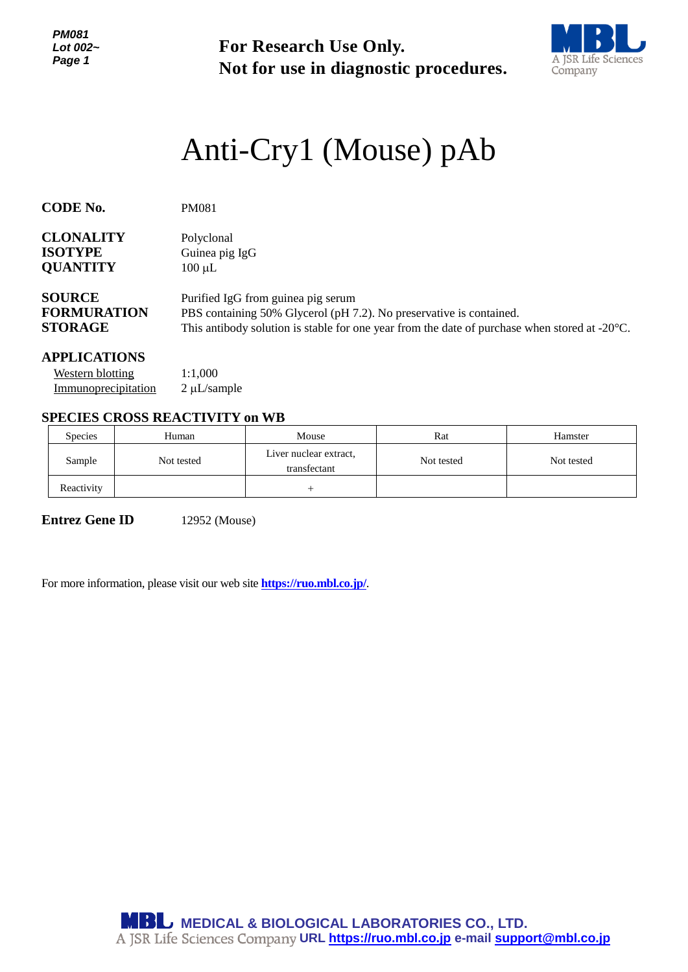*PM081 Lot 002~ Page 1*

**For Research Use Only. Not for use in diagnostic procedures.**



# *<sup>1</sup>* Anti-Cry1 (Mouse) pAb

| <b>CODE No.</b>    | <b>PM081</b>                                                                                            |
|--------------------|---------------------------------------------------------------------------------------------------------|
| <b>CLONALITY</b>   | Polyclonal                                                                                              |
| <b>ISOTYPE</b>     | Guinea pig IgG                                                                                          |
| <b>QUANTITY</b>    | $100 \mu L$                                                                                             |
| <b>SOURCE</b>      | Purified IgG from guinea pig serum                                                                      |
| <b>FORMURATION</b> | PBS containing 50% Glycerol (pH 7.2). No preservative is contained.                                     |
| <b>STORAGE</b>     | This antibody solution is stable for one year from the date of purchase when stored at $-20^{\circ}$ C. |

#### **APPLICATIONS**

| Western blotting    | 1:1,000           |
|---------------------|-------------------|
| Immunoprecipitation | $2 \mu L$ /sample |

### **SPECIES CROSS REACTIVITY on WB**

| <b>Species</b> | Human      | Mouse                                  | Rat        | Hamster    |
|----------------|------------|----------------------------------------|------------|------------|
| Sample         | Not tested | Liver nuclear extract,<br>transfectant | Not tested | Not tested |
| Reactivity     |            |                                        |            |            |

**Entrez Gene ID** 12952 (Mouse)

For more information, please visit our web site **https://ruo.mbl.co.jp/**.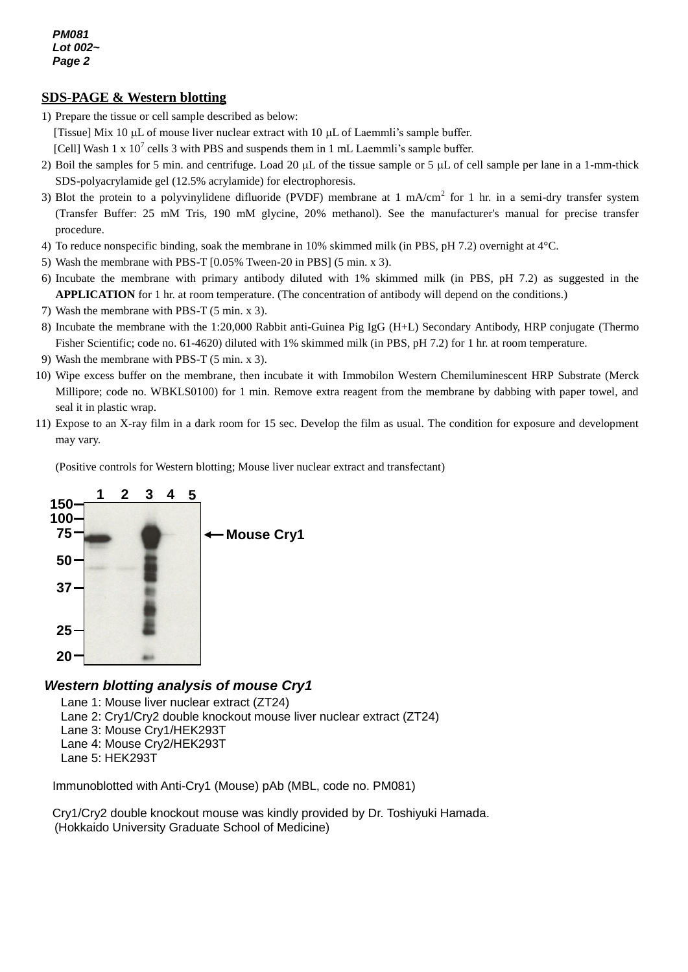*PM081 Lot 002~ Page 2*

## *g* **SDS-PAGE & Western blotting**

- 1) Prepare the tissue or cell sample described as below:
- [Tissue] Mix 10  $\mu$ L of mouse liver nuclear extract with 10  $\mu$ L of Laemmli's sample buffer.
- $[Fe/H]$  Wash 1 x 10<sup>7</sup> cells 3 with PBS and suspends them in 1 mL Laemmli's sample buffer.
- 2) Boil the samples for 5 min. and centrifuge. Load 20  $\mu$ L of the tissue sample or 5  $\mu$ L of cell sample per lane in a 1-mm-thick SDS-polyacrylamide gel (12.5% acrylamide) for electrophoresis.
- 3) Blot the protein to a polyvinylidene difluoride (PVDF) membrane at 1 mA/cm<sup>2</sup> for 1 hr. in a semi-dry transfer system (Transfer Buffer: 25 mM Tris, 190 mM glycine, 20% methanol). See the manufacturer's manual for precise transfer procedure.
- 4) To reduce nonspecific binding, soak the membrane in 10% skimmed milk (in PBS, pH 7.2) overnight at 4°C.
- 5) Wash the membrane with PBS-T [0.05% Tween-20 in PBS] (5 min. x 3).
- 6) Incubate the membrane with primary antibody diluted with 1% skimmed milk (in PBS, pH 7.2) as suggested in the **APPLICATION** for 1 hr. at room temperature. (The concentration of antibody will depend on the conditions.)
- 7) Wash the membrane with PBS-T (5 min. x 3).
- 8) Incubate the membrane with the 1:20,000 Rabbit anti-Guinea Pig IgG (H+L) Secondary Antibody, HRP conjugate (Thermo Fisher Scientific; code no. 61-4620) diluted with 1% skimmed milk (in PBS, pH 7.2) for 1 hr. at room temperature.
- 9) Wash the membrane with PBS-T (5 min. x 3).
- 10) Wipe excess buffer on the membrane, then incubate it with Immobilon Western Chemiluminescent HRP Substrate (Merck Millipore; code no. WBKLS0100) for 1 min. Remove extra reagent from the membrane by dabbing with paper towel, and seal it in plastic wrap.
- 11) Expose to an X-ray film in a dark room for 15 sec. Develop the film as usual. The condition for exposure and development may vary.

(Positive controls for Western blotting; Mouse liver nuclear extract and transfectant)



## *Western blotting analysis of mouse Cry1*

Lane 1: Mouse liver nuclear extract (ZT24)

Lane 2: Cry1/Cry2 double knockout mouse liver nuclear extract (ZT24)

- Lane 3: Mouse Cry1/HEK293T
- Lane 4: Mouse Cry2/HEK293T
- Lane 5: HEK293T

Immunoblotted with Anti-Cry1 (Mouse) pAb (MBL, code no. PM081)

Cry1/Cry2 double knockout mouse was kindly provided by Dr. Toshiyuki Hamada. (Hokkaido University Graduate School of Medicine)